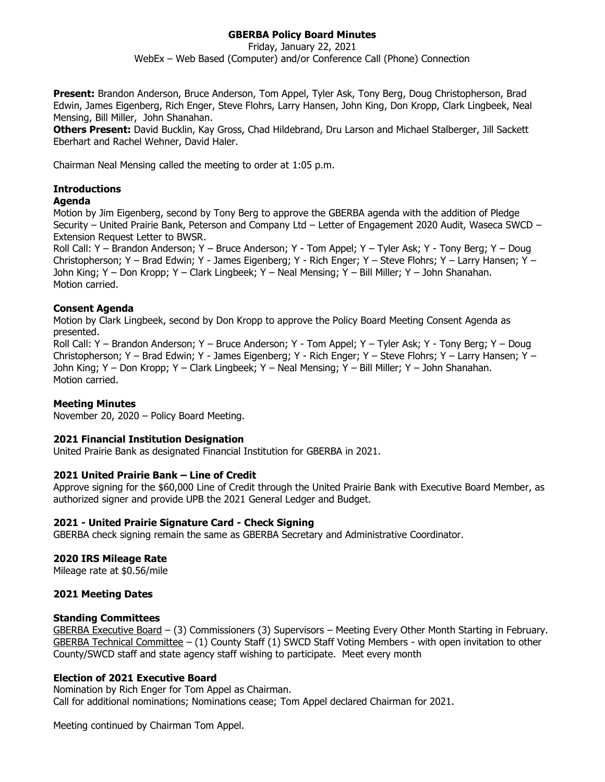# **GBERBA Policy Board Minutes**

Friday, January 22, 2021 WebEx – Web Based (Computer) and/or Conference Call (Phone) Connection

**Present:** Brandon Anderson, Bruce Anderson, Tom Appel, Tyler Ask, Tony Berg, Doug Christopherson, Brad Edwin, James Eigenberg, Rich Enger, Steve Flohrs, Larry Hansen, John King, Don Kropp, Clark Lingbeek, Neal Mensing, Bill Miller, John Shanahan.

**Others Present:** David Bucklin, Kay Gross, Chad Hildebrand, Dru Larson and Michael Stalberger, Jill Sackett Eberhart and Rachel Wehner, David Haler.

Chairman Neal Mensing called the meeting to order at 1:05 p.m.

## **Introductions**

## **Agenda**

Motion by Jim Eigenberg, second by Tony Berg to approve the GBERBA agenda with the addition of Pledge Security – United Prairie Bank, Peterson and Company Ltd – Letter of Engagement 2020 Audit, Waseca SWCD – Extension Request Letter to BWSR.

Roll Call: Y – Brandon Anderson; Y – Bruce Anderson; Y - Tom Appel; Y – Tyler Ask; Y - Tony Berg; Y – Doug Christopherson; Y – Brad Edwin; Y - James Eigenberg; Y - Rich Enger; Y – Steve Flohrs; Y – Larry Hansen; Y – John King; Y – Don Kropp; Y – Clark Lingbeek; Y – Neal Mensing; Y – Bill Miller; Y – John Shanahan. Motion carried.

## **Consent Agenda**

Motion by Clark Lingbeek, second by Don Kropp to approve the Policy Board Meeting Consent Agenda as presented.

Roll Call: Y – Brandon Anderson; Y – Bruce Anderson; Y - Tom Appel; Y – Tyler Ask; Y - Tony Berg; Y – Doug Christopherson; Y – Brad Edwin; Y - James Eigenberg; Y - Rich Enger; Y – Steve Flohrs; Y – Larry Hansen; Y – John King; Y – Don Kropp; Y – Clark Lingbeek; Y – Neal Mensing; Y – Bill Miller; Y – John Shanahan. Motion carried.

# **Meeting Minutes**

November 20, 2020 – Policy Board Meeting.

### **2021 Financial Institution Designation**

United Prairie Bank as designated Financial Institution for GBERBA in 2021.

# **2021 United Prairie Bank – Line of Credit**

Approve signing for the \$60,000 Line of Credit through the United Prairie Bank with Executive Board Member, as authorized signer and provide UPB the 2021 General Ledger and Budget.

### **2021 - United Prairie Signature Card - Check Signing**

GBERBA check signing remain the same as GBERBA Secretary and Administrative Coordinator.

# **2020 IRS Mileage Rate**

Mileage rate at \$0.56/mile

### **2021 Meeting Dates**

### **Standing Committees**

GBERBA Executive Board – (3) Commissioners (3) Supervisors – Meeting Every Other Month Starting in February. GBERBA Technical Committee  $-$  (1) County Staff (1) SWCD Staff Voting Members - with open invitation to other County/SWCD staff and state agency staff wishing to participate. Meet every month

# **Election of 2021 Executive Board**

Nomination by Rich Enger for Tom Appel as Chairman. Call for additional nominations; Nominations cease; Tom Appel declared Chairman for 2021.

Meeting continued by Chairman Tom Appel.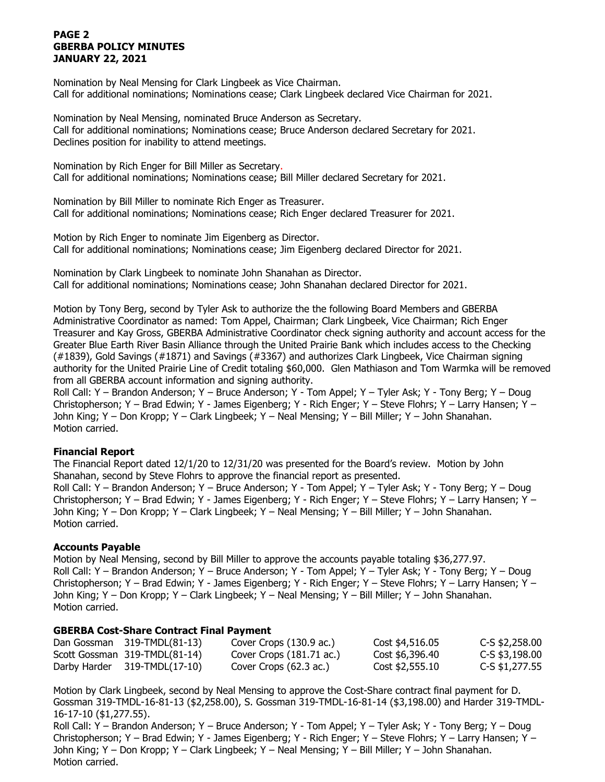## **PAGE 2 GBERBA POLICY MINUTES JANUARY 22, 2021**

Nomination by Neal Mensing for Clark Lingbeek as Vice Chairman. Call for additional nominations; Nominations cease; Clark Lingbeek declared Vice Chairman for 2021.

Nomination by Neal Mensing, nominated Bruce Anderson as Secretary. Call for additional nominations; Nominations cease; Bruce Anderson declared Secretary for 2021. Declines position for inability to attend meetings.

Nomination by Rich Enger for Bill Miller as Secretary. Call for additional nominations; Nominations cease; Bill Miller declared Secretary for 2021.

Nomination by Bill Miller to nominate Rich Enger as Treasurer. Call for additional nominations; Nominations cease; Rich Enger declared Treasurer for 2021.

Motion by Rich Enger to nominate Jim Eigenberg as Director. Call for additional nominations; Nominations cease; Jim Eigenberg declared Director for 2021.

Nomination by Clark Lingbeek to nominate John Shanahan as Director. Call for additional nominations; Nominations cease; John Shanahan declared Director for 2021.

Motion by Tony Berg, second by Tyler Ask to authorize the the following Board Members and GBERBA Administrative Coordinator as named: Tom Appel, Chairman; Clark Lingbeek, Vice Chairman; Rich Enger Treasurer and Kay Gross, GBERBA Administrative Coordinator check signing authority and account access for the Greater Blue Earth River Basin Alliance through the United Prairie Bank which includes access to the Checking (#1839), Gold Savings (#1871) and Savings (#3367) and authorizes Clark Lingbeek, Vice Chairman signing authority for the United Prairie Line of Credit totaling \$60,000. Glen Mathiason and Tom Warmka will be removed from all GBERBA account information and signing authority.

Roll Call: Y – Brandon Anderson; Y – Bruce Anderson; Y - Tom Appel; Y – Tyler Ask; Y - Tony Berg; Y – Doug Christopherson; Y – Brad Edwin; Y - James Eigenberg; Y - Rich Enger; Y – Steve Flohrs; Y – Larry Hansen; Y – John King; Y – Don Kropp; Y – Clark Lingbeek; Y – Neal Mensing; Y – Bill Miller; Y – John Shanahan. Motion carried.

# **Financial Report**

The Financial Report dated 12/1/20 to 12/31/20 was presented for the Board's review. Motion by John Shanahan, second by Steve Flohrs to approve the financial report as presented. Roll Call: Y – Brandon Anderson; Y – Bruce Anderson; Y - Tom Appel; Y – Tyler Ask; Y - Tony Berg; Y – Doug Christopherson; Y – Brad Edwin; Y - James Eigenberg; Y - Rich Enger; Y – Steve Flohrs; Y – Larry Hansen; Y – John King; Y – Don Kropp; Y – Clark Lingbeek; Y – Neal Mensing; Y – Bill Miller; Y – John Shanahan. Motion carried.

### **Accounts Payable**

Motion by Neal Mensing, second by Bill Miller to approve the accounts payable totaling \$36,277.97. Roll Call: Y – Brandon Anderson; Y – Bruce Anderson; Y - Tom Appel; Y – Tyler Ask; Y - Tony Berg; Y – Doug Christopherson; Y – Brad Edwin; Y - James Eigenberg; Y - Rich Enger; Y – Steve Flohrs; Y – Larry Hansen; Y – John King; Y – Don Kropp; Y – Clark Lingbeek; Y – Neal Mensing; Y – Bill Miller; Y – John Shanahan. Motion carried.

### **GBERBA Cost-Share Contract Final Payment**

| Dan Gossman 319-TMDL(81-13)        | Cover Crops (130.9 ac.)            | Cost \$4,516.05 | $C-S$ \$2,258.00 |
|------------------------------------|------------------------------------|-----------------|------------------|
| Scott Gossman 319-TMDL(81-14)      | Cover Crops $(181.71 \text{ ac.})$ | Cost \$6,396.40 | C-S \$3,198.00   |
| Darby Harder $319$ -TMDL $(17-10)$ | Cover Crops (62.3 ac.)             | Cost \$2,555.10 | C-S \$1,277.55   |

Motion by Clark Lingbeek, second by Neal Mensing to approve the Cost-Share contract final payment for D. Gossman 319-TMDL-16-81-13 (\$2,258.00), S. Gossman 319-TMDL-16-81-14 (\$3,198.00) and Harder 319-TMDL-16-17-10 (\$1,277.55).

Roll Call: Y – Brandon Anderson; Y – Bruce Anderson; Y - Tom Appel; Y – Tyler Ask; Y - Tony Berg; Y – Doug Christopherson; Y – Brad Edwin; Y - James Eigenberg; Y - Rich Enger; Y – Steve Flohrs; Y – Larry Hansen; Y – John King; Y – Don Kropp; Y – Clark Lingbeek; Y – Neal Mensing; Y – Bill Miller; Y – John Shanahan. Motion carried.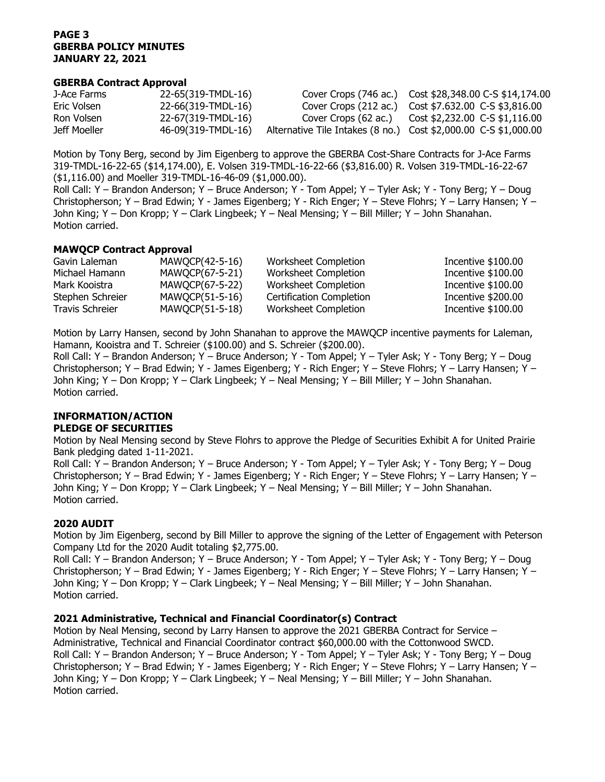## **PAGE 3 GBERBA POLICY MINUTES JANUARY 22, 2021**

### **GBERBA Contract Approval**

| J-Ace Farms  | 22-65(319-TMDL-16) |                                                                 | Cover Crops (746 ac.) Cost \$28,348.00 C-S \$14,174.00     |
|--------------|--------------------|-----------------------------------------------------------------|------------------------------------------------------------|
| Eric Volsen  | 22-66(319-TMDL-16) |                                                                 | Cover Crops (212 ac.)    Cost \$7.632.00    C-S \$3,816.00 |
| Ron Volsen   | 22-67(319-TMDL-16) | Cover Crops (62 ac.)                                            | Cost \$2,232.00 C-S \$1,116.00                             |
| Jeff Moeller | 46-09(319-TMDL-16) | Alternative Tile Intakes (8 no.) Cost \$2,000.00 C-S \$1,000.00 |                                                            |

Motion by Tony Berg, second by Jim Eigenberg to approve the GBERBA Cost-Share Contracts for J-Ace Farms 319-TMDL-16-22-65 (\$14,174.00), E. Volsen 319-TMDL-16-22-66 (\$3,816.00) R. Volsen 319-TMDL-16-22-67 (\$1,116.00) and Moeller 319-TMDL-16-46-09 (\$1,000.00).

Roll Call: Y – Brandon Anderson; Y – Bruce Anderson; Y - Tom Appel; Y – Tyler Ask; Y - Tony Berg; Y – Doug Christopherson; Y – Brad Edwin; Y - James Eigenberg; Y - Rich Enger; Y – Steve Flohrs; Y – Larry Hansen; Y – John King; Y – Don Kropp; Y – Clark Lingbeek; Y – Neal Mensing; Y – Bill Miller; Y – John Shanahan. Motion carried.

## **MAWQCP Contract Approval**

| Gavin Laleman    | MAWOCP(42-5-16) | Worksheet Completion     | Incentive \$100.00 |
|------------------|-----------------|--------------------------|--------------------|
| Michael Hamann   | MAWOCP(67-5-21) | Worksheet Completion     | Incentive \$100.00 |
| Mark Kooistra    | MAWOCP(67-5-22) | Worksheet Completion     | Incentive \$100.00 |
| Stephen Schreier | MAWOCP(51-5-16) | Certification Completion | Incentive \$200.00 |
| Travis Schreier  | MAWQCP(51-5-18) | Worksheet Completion     | Incentive \$100.00 |

Motion by Larry Hansen, second by John Shanahan to approve the MAWQCP incentive payments for Laleman, Hamann, Kooistra and T. Schreier (\$100.00) and S. Schreier (\$200.00).

Roll Call: Y – Brandon Anderson; Y – Bruce Anderson; Y - Tom Appel; Y – Tyler Ask; Y - Tony Berg; Y – Doug Christopherson; Y – Brad Edwin; Y - James Eigenberg; Y - Rich Enger; Y – Steve Flohrs; Y – Larry Hansen; Y – John King; Y – Don Kropp; Y – Clark Lingbeek; Y – Neal Mensing; Y – Bill Miller; Y – John Shanahan. Motion carried.

# **INFORMATION/ACTION**

# **PLEDGE OF SECURITIES**

Motion by Neal Mensing second by Steve Flohrs to approve the Pledge of Securities Exhibit A for United Prairie Bank pledging dated 1-11-2021.

Roll Call: Y – Brandon Anderson; Y – Bruce Anderson; Y - Tom Appel; Y – Tyler Ask; Y - Tony Berg; Y – Doug Christopherson; Y – Brad Edwin; Y - James Eigenberg; Y - Rich Enger; Y – Steve Flohrs; Y – Larry Hansen; Y – John King; Y – Don Kropp; Y – Clark Lingbeek; Y – Neal Mensing; Y – Bill Miller; Y – John Shanahan. Motion carried.

# **2020 AUDIT**

Motion by Jim Eigenberg, second by Bill Miller to approve the signing of the Letter of Engagement with Peterson Company Ltd for the 2020 Audit totaling \$2,775.00.

Roll Call: Y – Brandon Anderson; Y – Bruce Anderson; Y - Tom Appel; Y – Tyler Ask; Y - Tony Berg; Y – Doug Christopherson; Y – Brad Edwin; Y - James Eigenberg; Y - Rich Enger; Y – Steve Flohrs; Y – Larry Hansen; Y – John King; Y – Don Kropp; Y – Clark Lingbeek; Y – Neal Mensing; Y – Bill Miller; Y – John Shanahan. Motion carried.

# **2021 Administrative, Technical and Financial Coordinator(s) Contract**

Motion by Neal Mensing, second by Larry Hansen to approve the 2021 GBERBA Contract for Service – Administrative, Technical and Financial Coordinator contract \$60,000.00 with the Cottonwood SWCD. Roll Call: Y – Brandon Anderson; Y – Bruce Anderson; Y - Tom Appel; Y – Tyler Ask; Y - Tony Berg; Y – Doug Christopherson; Y – Brad Edwin; Y - James Eigenberg; Y - Rich Enger; Y – Steve Flohrs; Y – Larry Hansen; Y – John King; Y – Don Kropp; Y – Clark Lingbeek; Y – Neal Mensing; Y – Bill Miller; Y – John Shanahan. Motion carried.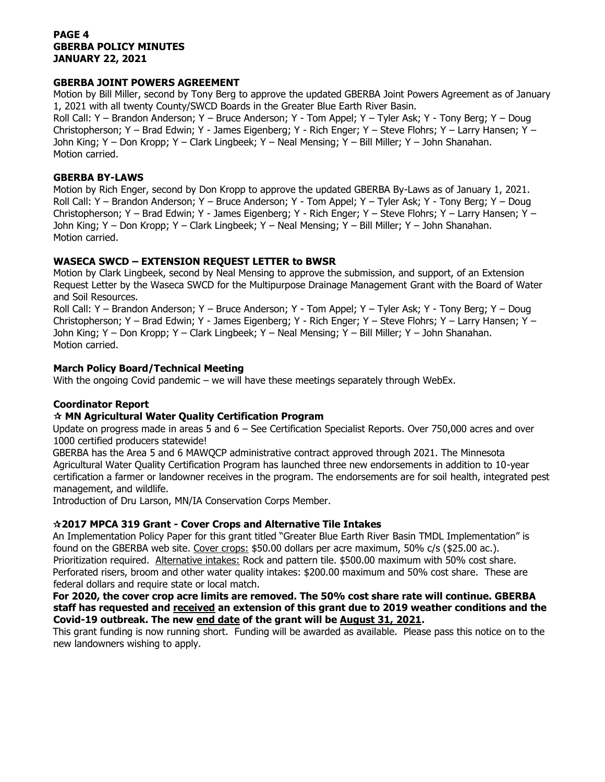## **PAGE 4 GBERBA POLICY MINUTES JANUARY 22, 2021**

## **GBERBA JOINT POWERS AGREEMENT**

Motion by Bill Miller, second by Tony Berg to approve the updated GBERBA Joint Powers Agreement as of January 1, 2021 with all twenty County/SWCD Boards in the Greater Blue Earth River Basin.

Roll Call: Y – Brandon Anderson; Y – Bruce Anderson; Y - Tom Appel; Y – Tyler Ask; Y - Tony Berg; Y – Doug Christopherson; Y – Brad Edwin; Y - James Eigenberg; Y - Rich Enger; Y – Steve Flohrs; Y – Larry Hansen; Y – John King; Y – Don Kropp; Y – Clark Lingbeek; Y – Neal Mensing; Y – Bill Miller; Y – John Shanahan. Motion carried.

### **GBERBA BY-LAWS**

Motion by Rich Enger, second by Don Kropp to approve the updated GBERBA By-Laws as of January 1, 2021. Roll Call: Y – Brandon Anderson; Y – Bruce Anderson; Y - Tom Appel; Y – Tyler Ask; Y - Tony Berg; Y – Doug Christopherson; Y – Brad Edwin; Y - James Eigenberg; Y - Rich Enger; Y – Steve Flohrs; Y – Larry Hansen; Y – John King; Y – Don Kropp; Y – Clark Lingbeek; Y – Neal Mensing; Y – Bill Miller; Y – John Shanahan. Motion carried.

# **WASECA SWCD – EXTENSION REQUEST LETTER to BWSR**

Motion by Clark Lingbeek, second by Neal Mensing to approve the submission, and support, of an Extension Request Letter by the Waseca SWCD for the Multipurpose Drainage Management Grant with the Board of Water and Soil Resources.

Roll Call: Y – Brandon Anderson; Y – Bruce Anderson; Y - Tom Appel; Y – Tyler Ask; Y - Tony Berg; Y – Doug Christopherson; Y – Brad Edwin; Y - James Eigenberg; Y - Rich Enger; Y – Steve Flohrs; Y – Larry Hansen; Y – John King; Y – Don Kropp; Y – Clark Lingbeek; Y – Neal Mensing; Y – Bill Miller; Y – John Shanahan. Motion carried.

## **March Policy Board/Technical Meeting**

With the ongoing Covid pandemic – we will have these meetings separately through WebEx.

# **Coordinator Report**

# **MN Agricultural Water Quality Certification Program**

Update on progress made in areas 5 and 6 – See Certification Specialist Reports. Over 750,000 acres and over 1000 certified producers statewide!

GBERBA has the Area 5 and 6 MAWQCP administrative contract approved through 2021. The Minnesota Agricultural Water Quality Certification Program has launched three new endorsements in addition to 10-year certification a farmer or landowner receives in the program. The endorsements are for soil health, integrated pest management, and wildlife.

Introduction of Dru Larson, MN/IA Conservation Corps Member.

### **2017 MPCA 319 Grant - Cover Crops and Alternative Tile Intakes**

An Implementation Policy Paper for this grant titled "Greater Blue Earth River Basin TMDL Implementation" is found on the GBERBA web site. Cover crops: \$50.00 dollars per acre maximum, 50% c/s (\$25.00 ac.). Prioritization required. Alternative intakes: Rock and pattern tile. \$500.00 maximum with 50% cost share. Perforated risers, broom and other water quality intakes: \$200.00 maximum and 50% cost share. These are federal dollars and require state or local match.

## **For 2020, the cover crop acre limits are removed. The 50% cost share rate will continue. GBERBA staff has requested and received an extension of this grant due to 2019 weather conditions and the Covid-19 outbreak. The new end date of the grant will be August 31, 2021.**

This grant funding is now running short. Funding will be awarded as available. Please pass this notice on to the new landowners wishing to apply.